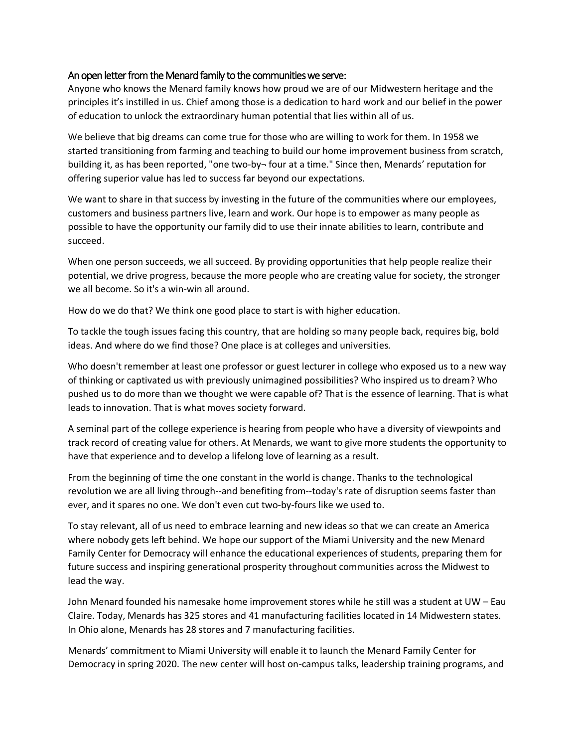## An open letter from the Menard family to the communities we serve:

Anyone who knows the Menard family knows how proud we are of our Midwestern heritage and the principles it's instilled in us. Chief among those is a dedication to hard work and our belief in the power of education to unlock the extraordinary human potential that lies within all of us.

We believe that big dreams can come true for those who are willing to work for them. In 1958 we started transitioning from farming and teaching to build our home improvement business from scratch, building it, as has been reported, "one two-by- four at a time." Since then, Menards' reputation for offering superior value has led to success far beyond our expectations.

We want to share in that success by investing in the future of the communities where our employees, customers and business partners live, learn and work. Our hope is to empower as many people as possible to have the opportunity our family did to use their innate abilities to learn, contribute and succeed.

When one person succeeds, we all succeed. By providing opportunities that help people realize their potential, we drive progress, because the more people who are creating value for society, the stronger we all become. So it's a win-win all around.

How do we do that? We think one good place to start is with higher education.

To tackle the tough issues facing this country, that are holding so many people back, requires big, bold ideas. And where do we find those? One place is at colleges and universities.

Who doesn't remember at least one professor or guest lecturer in college who exposed us to a new way of thinking or captivated us with previously unimagined possibilities? Who inspired us to dream? Who pushed us to do more than we thought we were capable of? That is the essence of learning. That is what leads to innovation. That is what moves society forward.

A seminal part of the college experience is hearing from people who have a diversity of viewpoints and track record of creating value for others. At Menards, we want to give more students the opportunity to have that experience and to develop a lifelong love of learning as a result.

From the beginning of time the one constant in the world is change. Thanks to the technological revolution we are all living through--and benefiting from--today's rate of disruption seems faster than ever, and it spares no one. We don't even cut two-by-fours like we used to.

To stay relevant, all of us need to embrace learning and new ideas so that we can create an America where nobody gets left behind. We hope our support of the Miami University and the new Menard Family Center for Democracy will enhance the educational experiences of students, preparing them for future success and inspiring generational prosperity throughout communities across the Midwest to lead the way.

John Menard founded his namesake home improvement stores while he still was a student at UW – Eau Claire. Today, Menards has 325 stores and 41 manufacturing facilities located in 14 Midwestern states. In Ohio alone, Menards has 28 stores and 7 manufacturing facilities.

Menards' commitment to Miami University will enable it to launch the Menard Family Center for Democracy in spring 2020. The new center will host on-campus talks, leadership training programs, and